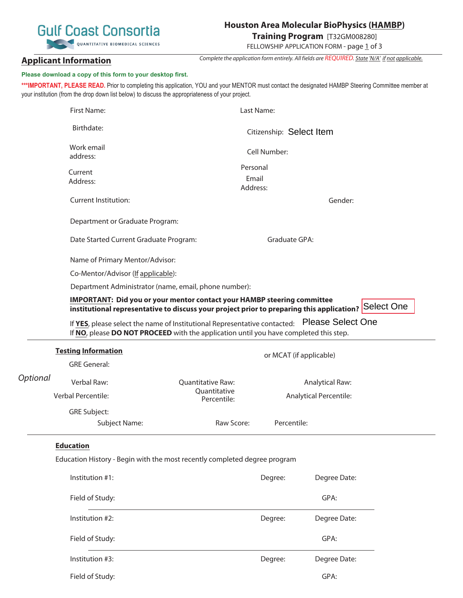# **Gulf Coast Consortia** QUANTITATIVE BIOMEDICAL SCIENCES

# **Houston Area Molecular BioPhysics (HAMBP)**

**Training Program** [T32GM008280]

Complete the application form entirely. All fields are REQUIRED. State 'N/A' if not applicable. FELLOWSHIP APPLICATION FORM - page 1 of 3

# **Applicant Information**

# **Please download a copy of this form to your desktop first.**

\*\*\*IMPORTANT, PLEASE READ. Prior to completing this application, YOU and your MENTOR must contact the designated HAMBP Steering Committee member at your institution (from the drop down list below) to discuss the appropriateness of your project.

|          | <b>First Name:</b>                                                                                                                                                                             |                   | Last Name:                                              |              |  |  |  |
|----------|------------------------------------------------------------------------------------------------------------------------------------------------------------------------------------------------|-------------------|---------------------------------------------------------|--------------|--|--|--|
|          | Birthdate:                                                                                                                                                                                     |                   | Citizenship: Select Item                                |              |  |  |  |
|          | Work email<br>address:                                                                                                                                                                         |                   | Cell Number:                                            |              |  |  |  |
|          | Current<br>Address:                                                                                                                                                                            |                   | Personal<br>Email<br>Address:                           |              |  |  |  |
|          | <b>Current Institution:</b>                                                                                                                                                                    |                   |                                                         | Gender:      |  |  |  |
|          | Department or Graduate Program:                                                                                                                                                                |                   |                                                         |              |  |  |  |
|          | Date Started Current Graduate Program:                                                                                                                                                         |                   | Graduate GPA:                                           |              |  |  |  |
|          | Name of Primary Mentor/Advisor:                                                                                                                                                                |                   |                                                         |              |  |  |  |
|          | Co-Mentor/Advisor (If applicable):                                                                                                                                                             |                   |                                                         |              |  |  |  |
|          | Department Administrator (name, email, phone number):                                                                                                                                          |                   |                                                         |              |  |  |  |
|          | IMPORTANT: Did you or your mentor contact your HAMBP steering committee<br>institutional representative to discuss your project prior to preparing this application? Select One                |                   |                                                         |              |  |  |  |
|          | <b>Please Select One</b><br>If YES, please select the name of Institutional Representative contacted:<br>If NO, please DO NOT PROCEED with the application until you have completed this step. |                   |                                                         |              |  |  |  |
|          | <b>Testing Information</b>                                                                                                                                                                     |                   | or MCAT (if applicable)                                 |              |  |  |  |
| Optional | <b>GRE General:</b>                                                                                                                                                                            |                   |                                                         |              |  |  |  |
|          | Verbal Raw:                                                                                                                                                                                    | Quantitative Raw: | <b>Analytical Raw:</b><br><b>Analytical Percentile:</b> |              |  |  |  |
|          |                                                                                                                                                                                                | Quantitative      |                                                         |              |  |  |  |
|          | Verbal Percentile:                                                                                                                                                                             | Percentile:       |                                                         |              |  |  |  |
|          | <b>GRE Subject:</b>                                                                                                                                                                            |                   |                                                         |              |  |  |  |
|          | Subject Name:                                                                                                                                                                                  | Raw Score:        | Percentile:                                             |              |  |  |  |
|          | <b>Education</b>                                                                                                                                                                               |                   |                                                         |              |  |  |  |
|          | Education History - Begin with the most recently completed degree program                                                                                                                      |                   |                                                         |              |  |  |  |
|          | Institution #1:                                                                                                                                                                                |                   | Degree:                                                 | Degree Date: |  |  |  |
|          | Field of Study:                                                                                                                                                                                |                   |                                                         | GPA:         |  |  |  |
|          | Institution #2:                                                                                                                                                                                |                   | Degree:                                                 | Degree Date: |  |  |  |
|          | Field of Study:                                                                                                                                                                                |                   |                                                         | GPA:         |  |  |  |
|          | Institution #3:                                                                                                                                                                                |                   | Degree:                                                 | Degree Date: |  |  |  |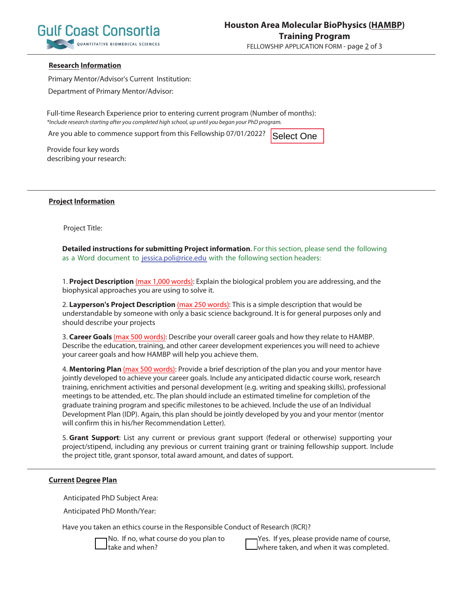

#### **Research Information**

Primary Mentor/Advisor's Current Institution:

Department of Primary Mentor/Advisor:

Full-time Research Experience prior to entering current program (Number of months): \*Include research starting after you completed high school, up until you began your PhD program.

Are you able to commence support from this Fellowship 07/01/2022?

Select One

Provide four key words describing your research:

#### **Project Information**

Project Title:

**Detailed instructions for submitting Project information**. For this section, please send the following as a Word document to jessica.poli@rice.edu with the following section headers:

1. **Project Description** (max 1,000 words): Explain the biological problem you are addressing, and the biophysical approaches you are using to solve it.

2. **Layperson's Project Description** (max 250 words): This is a simple description that would be understandable by someone with only a basic science background. It is for general purposes only and should describe your projects

3. **Career Goals** (max 500 words): Describe your overall career goals and how they relate to HAMBP. Describe the education, training, and other career development experiences you will need to achieve your career goals and how HAMBP will help you achieve them.

4. **Mentoring Plan** (max 500 words): Provide a brief description of the plan you and your mentor have jointly developed to achieve your career goals. Include any anticipated didactic course work, research training, enrichment activities and personal development (e.g. writing and speaking skills), professional meetings to be attended, etc. The plan should include an estimated timeline for completion of the graduate training program and specific milestones to be achieved. Include the use of an Individual Development Plan (IDP). Again, this plan should be jointly developed by you and your mentor (mentor will confirm this in his/her Recommendation Letter).

5. **Grant Support**: List any current or previous grant support (federal or otherwise) supporting your project/stipend, including any previous or current training grant or training fellowship support. Include the project title, grant sponsor, total award amount, and dates of support.

#### **Current Degree Plan**

Anticipated PhD Subject Area:

Anticipated PhD Month/Year:

Have you taken an ethics course in the Responsible Conduct of Research (RCR)?

No. If no, what course do you plan to take and when?

Yes. If yes, please provide name of course, where taken, and when it was completed.